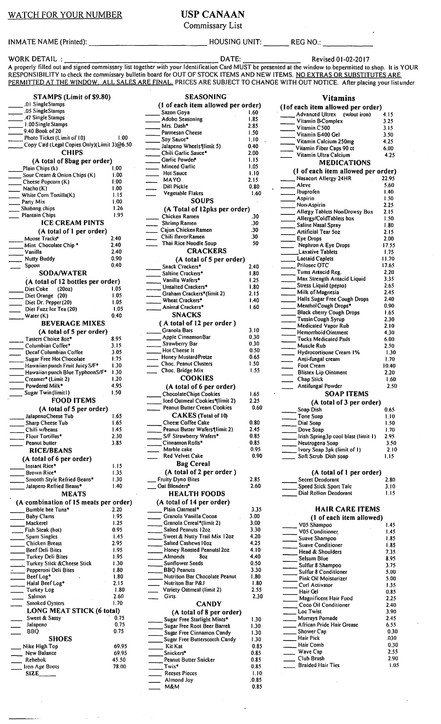WATCH FOR YOUR NUMBER USP CANAAN

Commissary List

INMATE NAME (Printed): The settlem of the HOUSING UNIT: The REG NO.:

WORK DETAIL : \_\_\_\_\_\_\_\_\_\_\_\_\_\_\_ DATE: \_\_\_\_\_ \_ Revised 01-02-2017 A properly filled out and signed commissary list together with your Identification Card MUST be presented at the window to bepermitted to shop. It is YOUR RESPONSIBILITY to check the commissary bulletin board for OUT OF STOCK ITEMS AND NEW ITEMS. NO EXTRAS OR SUBSTITUTES ARE PERMITTED AT THE WINDOW. ALL SALES ARE FINAL. PRICES ARE SUBJECT TO CHANGE WITH OUT NOTICE. After placing your list under

STAMPS (Limit of \$9.80) .0 I SingleStamps STAINT'S<br>01 SingleStamps<br>05 SingleStamps<br>47 Single Stamps -.-.47 Single Stamps 1.00 Single Stamps 9.40 Book of 20 Photo Ticket (Limit of 10) 1.00 Copy Cad (Legal Copies Only)(Limit 3)@6.50 **CHIPS** (A total of 8bag per order)<br>n Chips (k)  $1.00$ Plain Chips (k)  $1.00$ <br>
Sour Cream & Onion Chips (K)  $1.00$ examediate, can compute the Chips (K) 1.00<br>Sour Cream & Onion Chips (K) 1.00<br>Cheese Popcorn (K) 1.00 Cheese Popcorn (K) (1.00<br>Nacho (K) (1.00 Nacho (K) 1.00<br>
White Corn Tortilla(K) 1.15<br>
Party Mix 1.00<br>
Shahang chins 1.26 Example 20<br>
Shabang chips 1.26<br>
Plantain Chips 1.95 Plantain Chips ICE CREAM PINTS (A total of 1 per order) Moose Tracks<sup>+</sup> 2.40<br>Alint Chocolate Chip \* 2.40 --Vanilla 2.40 Nutty Buddy 0.90<br>Spoon 0.40 Spoon SODA/WATER (A total of 12 bottles per order)<br>Diet Coke (2002) = 1.05 <u>Diet Coke</u> (2002) 1.05<br>1.05 Diet Orange (20) 1.05 Diet Orange (20) 1.05<br>Diet Dr. Pepper (20) 1.05<br>Diet Fuzz Ice Tea (20) 1.05 Diet Fuzz Ice Tea (20) 1.05<br>Water (K) 6.40 Water (K) BEVERAGE MIXES (A total of 5 per order) Tasters Choice 8oz\* (8.95)<br>Columbian Coffee\* (8.95) Prince Concrete Columbian Coffee<br>Columbian Coffee 23.15<br>Decaf Columbian Coffee 3.05 Decaf Columbian Coffee 3.05<br>Sugar Free Hot Chocolate 1.75 Sugar Free Hot Chocolate 1.75<br>Hawaiian punch Fruit Juicy S/F<sup>\*</sup> 1.30 Hawaiian punch Fruit Juicy S/F<sup>\*</sup> 1.30<br>Hawaiian punch Blue Typhoon S/F<sup>\*</sup> 1.30 Hawaiian punch Blue TyphoonS/F\* 1.30<br>Creamer\* (Limit 2) 1.20 Creamer\* (Limit 2) 1.20<br>Powdered Milk\* 4.95 Powdered Milk<sup>\*</sup> 4.95<br>Sugar Twin (limit l) 1.50 Sugar Twin (limit I) FOOD ITEMS (A total of 5 per order)<br>JalapenoCheese Tub 1.65<br>Sharp Cheese Tub 1.65 JalapenoCheese Tub 1.65<br>
Sharp Cheese Tub 1.65<br>
Chili w/beans 1.45 Chili w/beans 1.45<br>
Flour Tortillas\* 2.30 Flour Tortillas<sup>\*</sup> 2.30<br>Peanut butter 3.85 Peanut butter RICE/BEANS (A total of 6 per order) Instant Rice\* 1.15<br>Brown Rice\* 1.35 Brown Rice\* 1.35<br>Smooth Style Refried Beans\* 1.30 ==Smooth Style Refried Beans• I .30 \_\_ Jalapero Refried Beans• I .40 MEATS (A combination of 15 meats per order) Bumble bee Tuna\* 2.20<br>
Baby Clams 1.95<br>
Mackerel 1.25<br>
Mackerel 1.25<br>
City Clark 1.25 Bumble bee Tuna\* 2.20<br>
Baby Clams 1.95<br>
Mackerel 1.25 •<br>Fish Steak (hot) 0.95<br>Spam Singles 1.45 Spam Singles 1.45<br>Chicken Breast 1.5 (2.95) Chicken Breast eef Deli Bites 1.95<br>Turkey Deli Bites 1.95 Turkey Deli Bites 1.95<br>Turkey Stick & Cheese Stick 1.30 Turkey Stick & Cheese Stick 1.30<br>Pepperoni Deli Bites 1.80 · Pepperoni Deli Bites 1.80 \_\_ Beef Log• 1.80 \_\_ Halal Beef Log• 2.15 \_\_\_\_\_ Halal Beef Log\* 1.15<br>\_\_\_\_ Turkey Log 1.80 Salmon 2.60 Smoked Oysters **I.70** LONG MEAT STICK (6 total)<br>Sweet & Sassy 0.75 Sweet & Sassy Jalapeno 0.75<br>BBQ 0.75 **BBQ** SHOES \_ Nike High Top New Balance Rebebok Little Boots<br>SIZE 69.95 69.95 45.50 78.00

SEASONING. (1 of each item allowed per order)<br>- Sazon Goya 1.60<br>Adobo Seasoning 1.85 Adobo Seasoning 1.85<br>Mrs. Dash\* 1.85 Mrs. Dash<sup>\*</sup> 2.85<br>Parmesan Cheese 1.50 Parmesan Cheese 1.50<br>
Soy Sauce\* 1.10 Soy Sauce\* 1.10<br>Jalapeno Wheels (limit 5) 0.40<br>Chili Garlic Sauce\* 2.00 Chili Garlic Sauce\*<br>
Garlic Powder\*
1.15 Garlic Powder\* 1.15<br>Minced Garlic 1.05 Minced Garlic 1.05<br>Hot Sauce 1.10 Hot Sauce 1.10<br>MAYO 2.15 MAYO 2.15<br>Dill Pickle 2.15 Dill Pickle 0.80<br>Vegetable Flakes 1.60 Vegetable Flakes **SOUPS** (A Total of 12pks per order)<br>Chicken Ramen 30 Chicken Ramen ... 30<br>Shrimp Ramen ... 30 \_\_ Shrimp Ramen .30 \_\_ Cajun Chicken Ramen .30 Chili tlavorRamen .30 Thai Rice Noodle Soup **CRACKERS** (A total of 5 per order) Snack Crackers<sup>\*</sup> 2.40<br>Saltine Crackers<sup>\*</sup> 1.80 Saltine Crackers<sup>\*</sup><br>1.80 Vanilla Wafers<sup>\*</sup> 1.25 Vanilla Wafers<sup>\*</sup><br>Unsalted Crackers<sup>\*</sup> 1.25 Unsalted Crackers\* 1.80<br>Graham Crackers\*(limit 2) 2.15 Vanilla Waters\* 1.25<br>
Unsalted Crackers\* 1.80<br>
Craham Crackers\*(limit 2) 2.15<br>
Wheet Crackers\* (limit 2) 2.140 --Wheat Crackers\* 1.40 Animal Crackers<sup>\*</sup> 1.60 SNACKS ( A total of 12 per order ) Granola Bars 3.10 Apple Cinnamon Bar (a. 1996)<br>Strawberry Bar (b. 1996) Apple CinnamonBar (1998)<br>
Strawberry Bar (1998)<br>
Strawberry Bar (1998) Strawberry Bar (0.30)<br>
Hot Cheese It (0.50) Mot Cheese It (1996)<br>
Honey Mustard Pretze (1996)<br>
Choc. Peanut Clusters (1996) Choc. Peanut Clusters 1.50<br>Choc. Bridge Mix 1.55 Choc. Bridge Mix **COOKIES** (A total of 6 per order)<br>Chocolate Chips Cookies 1.65<br>Iced Oatmeal Cookies\*(limit 2) 2.25 ChocolateChips Cookies<br>
Iced Oatmeal Cookies\*(limit 2) 2.25<br>
------- Peanut Butter Cream Cookies 0.60 CAKES (Total of IO) Cheese Coffee Cake 0.80<br>Peanut Butter Wafers (limit 2) 2.45 Peanut Butter Wafers (1911) 2.45<br>S/F Strawberry Wafers \* 0.85 S/F Strawberry Wafers\* 0.85<br>Cinnamon Rolls\* 0.85 Cinnamon Rolls<sup>\*</sup> 0.85<br>Marble cake 0.95 Marble cake 0.95<br>Red Velvet Cake 0.90 Red Velvet Cake Bag Cereal (A total of 2 per order) Pruity Dyno Bites 2.85<br>Oat Blenders\* 2.60 Oat Blenders\* HEALTH FOODS (A total of 14 per order) Plain Oatmeal• Granola Vanilla Cocoa Granola Cereal\*(limit 2) Salted Peanuts I 2oz Sweet & Nutty Trail Mix 12oz Salted Cashews IOoz Honey Roasted Peanuts 202<br>Almonds 80z Almonds Sunflower Seeds BBQ Peanuts Nutrition Bar Chocolate Peanut Nutriton Bar P&J Variety Oatmeal (limit 2) Girts **CANDY** (A total of 8 per order)<br>Sugar Free Starlight Mints\* Sugar Free Root Beer Barret Sugar Free Cinnamon Candy Sugar Free Butterscotch Candy Kit Kat Snickers• Peanut Butter Snicker Twix\* Reeses Pieces Almond Joy M&M 3.35 3.00 3.00 3.30 4.20 4.25 4.10 4.40 0.50 3.30 1.80 1.80 2.55 2.30 1.30 1.30 1.30 1.30 0.85 0.85 0.85 0.85 1.10 .0.85 0.85

| Vitamins                                                         |               |
|------------------------------------------------------------------|---------------|
| (lof each item allowed per order)                                |               |
| Advanced Ultrex<br>(w/out iron)<br>Vitamin B-Complex             | 4.15<br>3.25  |
| $\frac{1}{2}$ Vitamin C500                                       | 3.15          |
| Vitamin E400 Gel                                                 | 3.50          |
| Vitamin Calcium 250mg<br>Vitamin Fiber Caps 90 ct                | 4.25<br>6.00  |
| Vitamin Ultra Calcium                                            | 4.25          |
| <b>MEDICATIONS</b>                                               |               |
| (1 of each item allowed per order)<br>Nasacort Allergy 24HR      | 22.95         |
| ___ Aleve                                                        | 5.60          |
| _Ibuprofen                                                       | 1.40          |
| ___ Aspirin<br>Non-Aspirin                                       | 1.50<br>2.25  |
| Allergy Tablets Non-Drowsy Box                                   | 2.15          |
| ____ Allergy/ColdTablets box<br>Saline Nasal Spray               | 1.50<br>1.80  |
| Artificial Tear 502                                              | 2.15          |
| Eye Drops<br>Nephron A Eye Drops                                 | 2.00<br>17.55 |
| Laxative Tablets                                                 | 1.75          |
| Lactaid Caplets                                                  | 11.70         |
| Prilosec OTC<br>Tums Artacid Reg.<br>Max Strength Antacid Liquid | 17.65<br>2.20 |
|                                                                  | 3.35          |
| Stress Liquid (pepto)<br>Milk of Magnesia                        | 2.65<br>2.45  |
| Halls Sugar Free Cough Drops<br>MentholCough Drops*              | 2.40          |
|                                                                  | 0.90          |
| Black cherry Cough Drops<br>Tussin Cough Syrup                   | 1.65<br>2.30  |
| Medicated Vapor Rub                                              | 2.10          |
| Hemorrhoid Ointment<br>Tucks Medicated Pads                      | 4.30<br>6.00  |
| Muscle Rub                                                       | 2.50          |
| ____ Hydrocortisone Cream 1%<br>Anti-fungal cream                | 1.30<br>1.70  |
|                                                                  | 10.40         |
| Foot Cream<br>Blistex Lip Ointment                               | 2.20          |
| __ Chap Stick<br>Antifungal Powder                               | 1.60<br>2.50  |
|                                                                  |               |
| <b>SOAP ITEMS</b>                                                |               |
| (A total of 3 per order)                                         |               |
| Soap Dish                                                        | 0.65          |
| Tone Soap                                                        | 1.10<br>1.50  |
| Dial Soap<br>Dove Soap                                           | 1.70          |
| Irish Spring3p cool blast (limit 1)                              | 2.95<br>3.50  |
| Neutrogena Soap<br>Ivory Soap 3pk (limit of 1)                   | 2.10          |
| Soft Scrub Dish soap                                             | 1.15          |
| (A total of 1 per order)                                         |               |
| Secret Deodorant                                                 | 2.80          |
| Speed Stick Sport Tale<br>Dial Rollon Deodorant                  | 3.10<br>1.15  |
|                                                                  |               |
| <b>HAIR CARE ITEMS</b>                                           |               |
| (1 of each item allowed)                                         |               |
| V05 Shampoo                                                      | 1.45<br>1.45  |
| V05 Conditioner<br>Suave Shampoo                                 | 1.85          |
| Suave Conditioner<br>Head & Shoulders                            | 1.85<br>7.35  |
| Selsum Blue                                                      | 8.95          |
| Sulfur 8 Shampoo                                                 | 3.75          |
| Sulfur 8 Conditioner<br>Pink Oil Moisturizer                     | 5.00<br>5.00  |
| Curl Activator                                                   | 1.35          |
| Hair Gel<br>Magnificent Hair Food                                | 0.85<br>2.25  |
| Coco Oil Conditioner                                             | 2.40          |
| $\sqrt{ }$ Loc Twist<br>Murrays Pomade                           | 3.90<br>2.45  |
| ____ African Pride Hair Grease                                   | 6.55          |
| ______ Shower Cap                                                | 0.30<br>.030  |
| Hair Pick<br>Hair Comb                                           | 0.30          |
| Wave Cap                                                         | 2.55          |
| __ Club Brush<br>Braided Hair Ties                               | 2.90<br>1.05  |